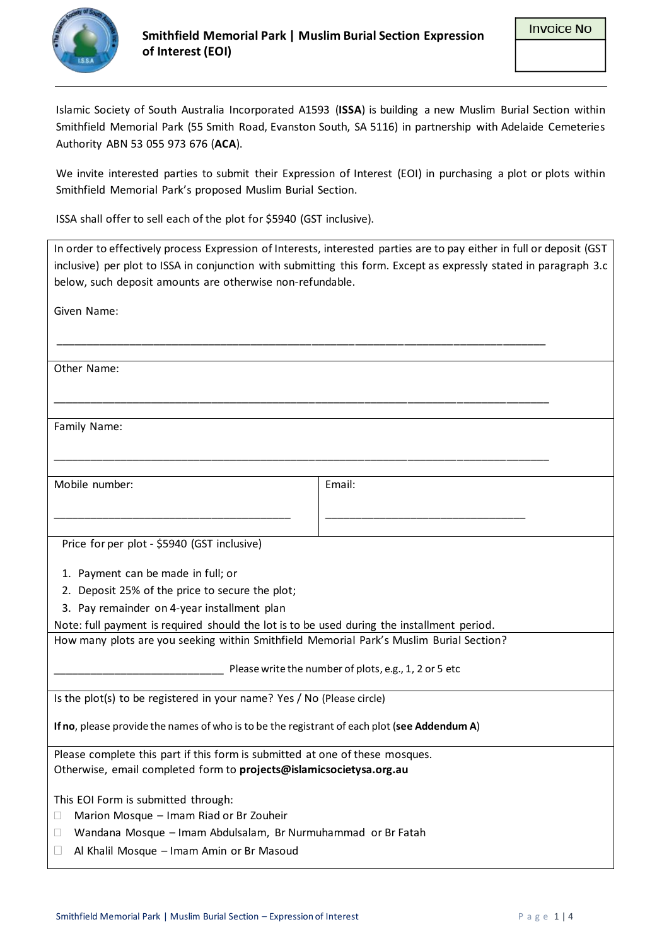

Islamic Society of South Australia Incorporated A1593 (**ISSA**) is building a new Muslim Burial Section within Smithfield Memorial Park (55 Smith Road, Evanston South, SA 5116) in partnership with Adelaide Cemeteries Authority ABN 53 055 973 676 (**ACA**).

We invite interested parties to submit their Expression of Interest (EOI) in purchasing a plot or plots within Smithfield Memorial Park's proposed Muslim Burial Section.

ISSA shall offer to sell each of the plot for \$5940 (GST inclusive).

| In order to effectively process Expression of Interests, interested parties are to pay either in full or deposit (GST |                                                                                                                   |  |  |  |
|-----------------------------------------------------------------------------------------------------------------------|-------------------------------------------------------------------------------------------------------------------|--|--|--|
|                                                                                                                       | inclusive) per plot to ISSA in conjunction with submitting this form. Except as expressly stated in paragraph 3.c |  |  |  |
| below, such deposit amounts are otherwise non-refundable.                                                             |                                                                                                                   |  |  |  |
|                                                                                                                       |                                                                                                                   |  |  |  |
| Given Name:                                                                                                           |                                                                                                                   |  |  |  |
|                                                                                                                       |                                                                                                                   |  |  |  |
|                                                                                                                       |                                                                                                                   |  |  |  |
| Other Name:                                                                                                           |                                                                                                                   |  |  |  |
|                                                                                                                       |                                                                                                                   |  |  |  |
|                                                                                                                       |                                                                                                                   |  |  |  |
|                                                                                                                       |                                                                                                                   |  |  |  |
| Family Name:                                                                                                          |                                                                                                                   |  |  |  |
|                                                                                                                       |                                                                                                                   |  |  |  |
|                                                                                                                       |                                                                                                                   |  |  |  |
| Mobile number:                                                                                                        | Email:                                                                                                            |  |  |  |
|                                                                                                                       |                                                                                                                   |  |  |  |
|                                                                                                                       |                                                                                                                   |  |  |  |
|                                                                                                                       |                                                                                                                   |  |  |  |
| Price for per plot - \$5940 (GST inclusive)                                                                           |                                                                                                                   |  |  |  |
|                                                                                                                       |                                                                                                                   |  |  |  |
| 1. Payment can be made in full; or                                                                                    |                                                                                                                   |  |  |  |
| 2. Deposit 25% of the price to secure the plot;                                                                       |                                                                                                                   |  |  |  |
| 3. Pay remainder on 4-year installment plan                                                                           |                                                                                                                   |  |  |  |
| Note: full payment is required should the lot is to be used during the installment period.                            |                                                                                                                   |  |  |  |
| How many plots are you seeking within Smithfield Memorial Park's Muslim Burial Section?                               |                                                                                                                   |  |  |  |
|                                                                                                                       |                                                                                                                   |  |  |  |
| Please write the number of plots, e.g., 1, 2 or 5 etc                                                                 |                                                                                                                   |  |  |  |
|                                                                                                                       |                                                                                                                   |  |  |  |
| Is the plot(s) to be registered in your name? Yes / No (Please circle)                                                |                                                                                                                   |  |  |  |
| If no, please provide the names of who is to be the registrant of each plot (see Addendum A)                          |                                                                                                                   |  |  |  |
|                                                                                                                       |                                                                                                                   |  |  |  |
| Please complete this part if this form is submitted at one of these mosques.                                          |                                                                                                                   |  |  |  |
| Otherwise, email completed form to projects@islamicsocietysa.org.au                                                   |                                                                                                                   |  |  |  |
|                                                                                                                       |                                                                                                                   |  |  |  |
| This EOI Form is submitted through:                                                                                   |                                                                                                                   |  |  |  |
| Marion Mosque - Imam Riad or Br Zouheir<br>П                                                                          |                                                                                                                   |  |  |  |
| Wandana Mosque - Imam Abdulsalam, Br Nurmuhammad or Br Fatah<br>Ш                                                     |                                                                                                                   |  |  |  |
| Al Khalil Mosque - Imam Amin or Br Masoud<br>$\Box$                                                                   |                                                                                                                   |  |  |  |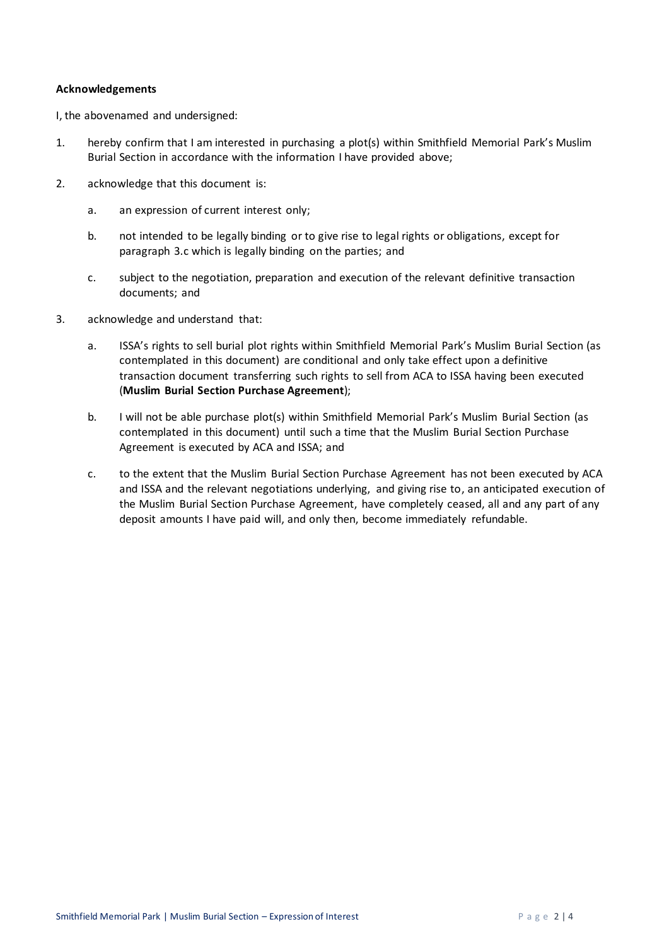## **Acknowledgements**

I, the abovenamed and undersigned:

- 1. hereby confirm that I am interested in purchasing a plot(s) within Smithfield Memorial Park's Muslim Burial Section in accordance with the information I have provided above;
- 2. acknowledge that this document is:
	- a. an expression of current interest only;
	- b. not intended to be legally binding or to give rise to legal rights or obligations, except for paragraph [3.c](#page-1-0) which is legally binding on the parties; and
	- c. subject to the negotiation, preparation and execution of the relevant definitive transaction documents; and
- <span id="page-1-0"></span>3. acknowledge and understand that:
	- a. ISSA's rights to sell burial plot rights within Smithfield Memorial Park's Muslim Burial Section (as contemplated in this document) are conditional and only take effect upon a definitive transaction document transferring such rights to sell from ACA to ISSA having been executed (**Muslim Burial Section Purchase Agreement**);
	- b. I will not be able purchase plot(s) within Smithfield Memorial Park's Muslim Burial Section (as contemplated in this document) until such a time that the Muslim Burial Section Purchase Agreement is executed by ACA and ISSA; and
	- c. to the extent that the Muslim Burial Section Purchase Agreement has not been executed by ACA and ISSA and the relevant negotiations underlying, and giving rise to, an anticipated execution of the Muslim Burial Section Purchase Agreement, have completely ceased, all and any part of any deposit amounts I have paid will, and only then, become immediately refundable.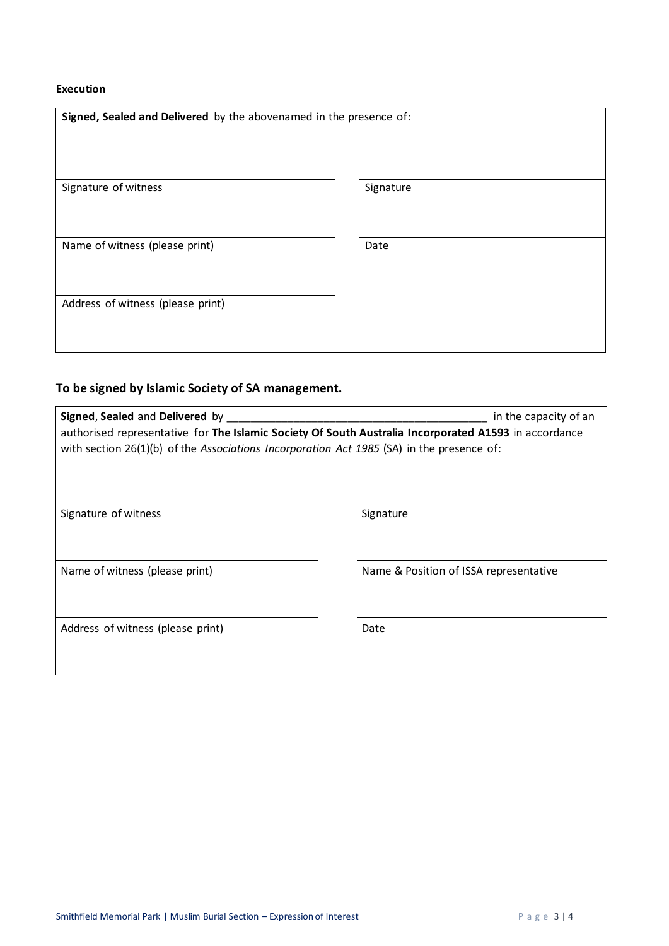## **Execution**

| Signed, Sealed and Delivered by the abovenamed in the presence of: |           |
|--------------------------------------------------------------------|-----------|
| Signature of witness                                               | Signature |
| Name of witness (please print)                                     | Date      |
| Address of witness (please print)                                  |           |

## **To be signed by Islamic Society of SA management.**

| Signed, Sealed and Delivered by<br>in the capacity of an<br>authorised representative for The Islamic Society Of South Australia Incorporated A1593 in accordance<br>with section $26(1)(b)$ of the Associations Incorporation Act 1985 (SA) in the presence of: |                                        |  |  |  |
|------------------------------------------------------------------------------------------------------------------------------------------------------------------------------------------------------------------------------------------------------------------|----------------------------------------|--|--|--|
| Signature of witness                                                                                                                                                                                                                                             | Signature                              |  |  |  |
| Name of witness (please print)                                                                                                                                                                                                                                   | Name & Position of ISSA representative |  |  |  |
| Address of witness (please print)                                                                                                                                                                                                                                | Date                                   |  |  |  |